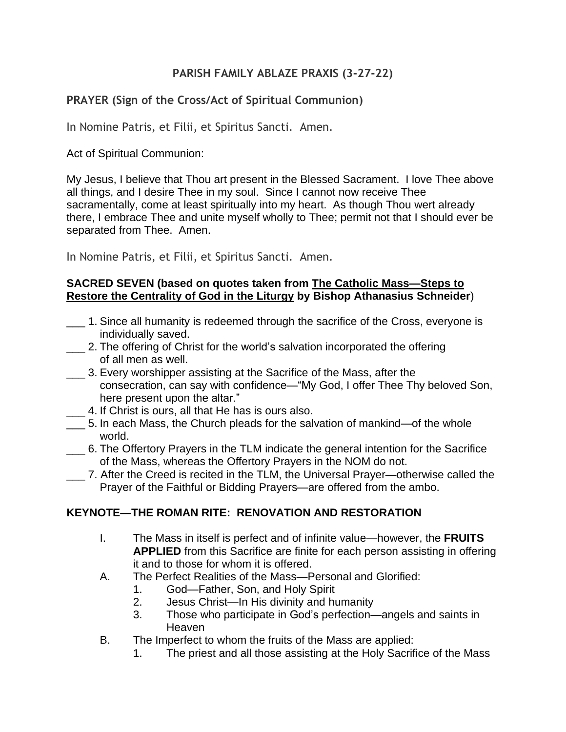## **PARISH FAMILY ABLAZE PRAXIS (3-27-22)**

## **PRAYER (Sign of the Cross/Act of Spiritual Communion)**

In Nomine Patris, et Filii, et Spiritus Sancti. Amen.

Act of Spiritual Communion:

My Jesus, I believe that Thou art present in the Blessed Sacrament. I love Thee above all things, and I desire Thee in my soul. Since I cannot now receive Thee sacramentally, come at least spiritually into my heart. As though Thou wert already there, I embrace Thee and unite myself wholly to Thee; permit not that I should ever be separated from Thee. Amen.

In Nomine Patris, et Filii, et Spiritus Sancti. Amen.

#### **SACRED SEVEN (based on quotes taken from The Catholic Mass—Steps to Restore the Centrality of God in the Liturgy by Bishop Athanasius Schneider**)

- \_\_\_ 1. Since all humanity is redeemed through the sacrifice of the Cross, everyone is individually saved.
- 2. The offering of Christ for the world's salvation incorporated the offering of all men as well.
- \_\_\_ 3. Every worshipper assisting at the Sacrifice of the Mass, after the consecration, can say with confidence—"My God, I offer Thee Thy beloved Son, here present upon the altar."
- 4. If Christ is ours, all that He has is ours also.
- \_\_\_ 5. In each Mass, the Church pleads for the salvation of mankind—of the whole world.
- \_\_\_ 6. The Offertory Prayers in the TLM indicate the general intention for the Sacrifice of the Mass, whereas the Offertory Prayers in the NOM do not.
- \_\_\_ 7. After the Creed is recited in the TLM, the Universal Prayer—otherwise called the Prayer of the Faithful or Bidding Prayers—are offered from the ambo.

# **KEYNOTE—THE ROMAN RITE: RENOVATION AND RESTORATION**

- I. The Mass in itself is perfect and of infinite value—however, the **FRUITS APPLIED** from this Sacrifice are finite for each person assisting in offering it and to those for whom it is offered.
- A. The Perfect Realities of the Mass—Personal and Glorified:
	- 1. God—Father, Son, and Holy Spirit
	- 2. Jesus Christ—In His divinity and humanity
	- 3. Those who participate in God's perfection—angels and saints in Heaven
- B. The Imperfect to whom the fruits of the Mass are applied:
	- 1. The priest and all those assisting at the Holy Sacrifice of the Mass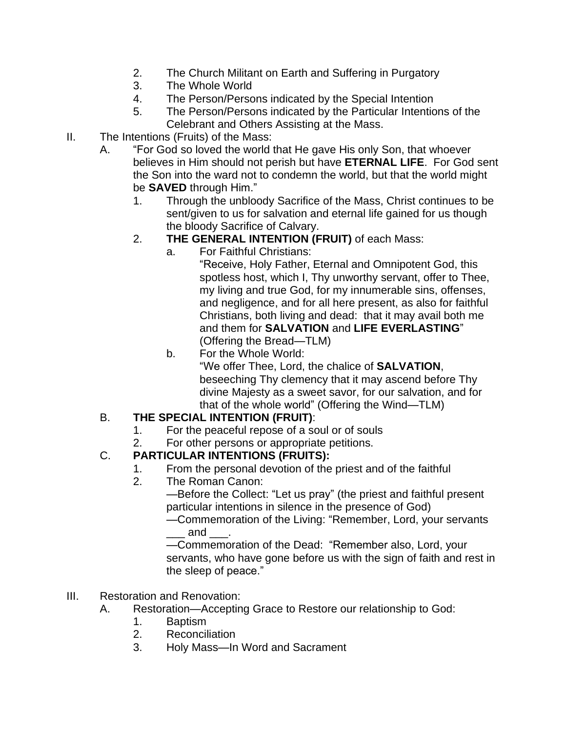- 2. The Church Militant on Earth and Suffering in Purgatory
- 3. The Whole World
- 4. The Person/Persons indicated by the Special Intention
- 5. The Person/Persons indicated by the Particular Intentions of the Celebrant and Others Assisting at the Mass.
- II. The Intentions (Fruits) of the Mass:
	- A. "For God so loved the world that He gave His only Son, that whoever believes in Him should not perish but have **ETERNAL LIFE**. For God sent the Son into the ward not to condemn the world, but that the world might be **SAVED** through Him."
		- 1. Through the unbloody Sacrifice of the Mass, Christ continues to be sent/given to us for salvation and eternal life gained for us though the bloody Sacrifice of Calvary.
		- 2. **THE GENERAL INTENTION (FRUIT)** of each Mass:
			- a. For Faithful Christians:

"Receive, Holy Father, Eternal and Omnipotent God, this spotless host, which I, Thy unworthy servant, offer to Thee, my living and true God, for my innumerable sins, offenses, and negligence, and for all here present, as also for faithful Christians, both living and dead: that it may avail both me and them for **SALVATION** and **LIFE EVERLASTING**" (Offering the Bread—TLM)

b. For the Whole World: "We offer Thee, Lord, the chalice of **SALVATION**, beseeching Thy clemency that it may ascend before Thy divine Majesty as a sweet savor, for our salvation, and for that of the whole world" (Offering the Wind—TLM)

# B. **THE SPECIAL INTENTION (FRUIT)**:

- 1. For the peaceful repose of a soul or of souls
- 2. For other persons or appropriate petitions.

### C. **PARTICULAR INTENTIONS (FRUITS):**

- 1. From the personal devotion of the priest and of the faithful
- 2. The Roman Canon:

—Before the Collect: "Let us pray" (the priest and faithful present particular intentions in silence in the presence of God)

—Commemoration of the Living: "Remember, Lord, your servants \_\_\_ and \_\_\_.

—Commemoration of the Dead: "Remember also, Lord, your servants, who have gone before us with the sign of faith and rest in the sleep of peace."

- III. Restoration and Renovation:
	- A. Restoration—Accepting Grace to Restore our relationship to God:
		- 1. Baptism
		- 2. Reconciliation
		- 3. Holy Mass—In Word and Sacrament